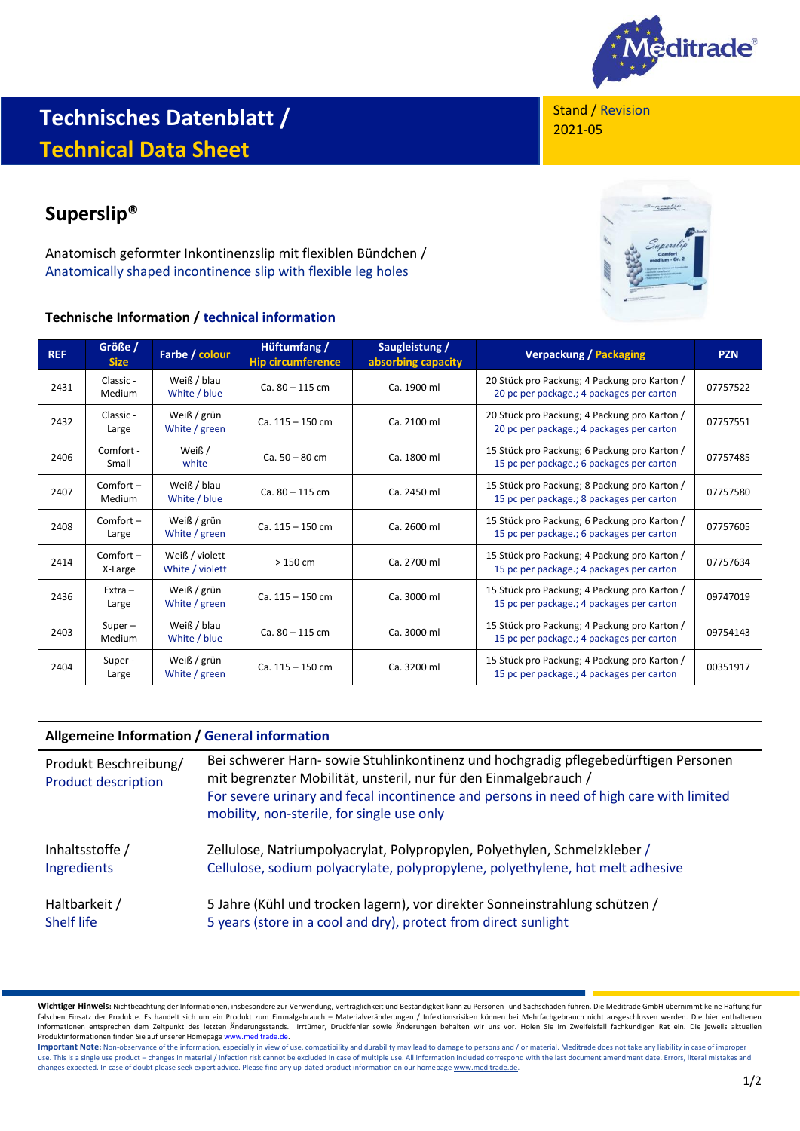

# **Technisches Datenblatt / Technical Data Sheet**

# **Superslip®**

Anatomisch geformter Inkontinenzslip mit flexiblen Bündchen / Anatomically shaped incontinence slip with flexible leg holes

## **Technische Information / technical information**





| <b>REF</b> | Größe /<br><b>Size</b> | Farbe / colour                    | Hüftumfang /<br><b>Hip circumference</b> | Saugleistung /<br>absorbing capacity | <b>Verpackung / Packaging</b>                                                             | <b>PZN</b> |
|------------|------------------------|-----------------------------------|------------------------------------------|--------------------------------------|-------------------------------------------------------------------------------------------|------------|
| 2431       | Classic -<br>Medium    | Weiß / blau<br>White / blue       | $Ca.80 - 115 cm$                         | Ca. 1900 ml                          | 20 Stück pro Packung; 4 Packung pro Karton /<br>20 pc per package.; 4 packages per carton | 07757522   |
| 2432       | Classic -<br>Large     | Weiß / grün<br>White / green      | $Ca. 115 - 150 cm$                       | Ca. 2100 ml                          | 20 Stück pro Packung; 4 Packung pro Karton /<br>20 pc per package.; 4 packages per carton | 07757551   |
| 2406       | Comfort -<br>Small     | Weiß /<br>white                   | $Ca. 50 - 80 cm$                         | Ca. 1800 ml                          | 15 Stück pro Packung; 6 Packung pro Karton /<br>15 pc per package.; 6 packages per carton | 07757485   |
| 2407       | $Comfort -$<br>Medium  | Weiß / blau<br>White / blue       | $Ca. 80 - 115 cm$                        | Ca. 2450 ml                          | 15 Stück pro Packung; 8 Packung pro Karton /<br>15 pc per package.; 8 packages per carton | 07757580   |
| 2408       | $Comfort -$<br>Large   | Weiß / grün<br>White / green      | $Ca. 115 - 150 cm$                       | Ca. 2600 ml                          | 15 Stück pro Packung; 6 Packung pro Karton /<br>15 pc per package.; 6 packages per carton | 07757605   |
| 2414       | $Comfort -$<br>X-Large | Weiß / violett<br>White / violett | $>150$ cm                                | Ca. 2700 ml                          | 15 Stück pro Packung; 4 Packung pro Karton /<br>15 pc per package.; 4 packages per carton | 07757634   |
| 2436       | $Extra -$<br>Large     | Weiß / grün<br>White / green      | $Ca. 115 - 150 cm$                       | Ca. 3000 ml                          | 15 Stück pro Packung; 4 Packung pro Karton /<br>15 pc per package.; 4 packages per carton | 09747019   |
| 2403       | $Super-$<br>Medium     | Weiß / blau<br>White / blue       | $Ca. 80 - 115 cm$                        | Ca. 3000 ml                          | 15 Stück pro Packung; 4 Packung pro Karton /<br>15 pc per package.; 4 packages per carton | 09754143   |
| 2404       | Super-<br>Large        | Weiß / grün<br>White / green      | $Ca. 115 - 150 cm$                       | Ca. 3200 ml                          | 15 Stück pro Packung; 4 Packung pro Karton /<br>15 pc per package.; 4 packages per carton | 00351917   |

### **Allgemeine Information / General information**

| Produkt Beschreibung/<br><b>Product description</b> | Bei schwerer Harn- sowie Stuhlinkontinenz und hochgradig pflegebedürftigen Personen<br>mit begrenzter Mobilität, unsteril, nur für den Einmalgebrauch /<br>For severe urinary and fecal incontinence and persons in need of high care with limited<br>mobility, non-sterile, for single use only |
|-----------------------------------------------------|--------------------------------------------------------------------------------------------------------------------------------------------------------------------------------------------------------------------------------------------------------------------------------------------------|
| Inhaltsstoffe /                                     | Zellulose, Natriumpolyacrylat, Polypropylen, Polyethylen, Schmelzkleber /                                                                                                                                                                                                                        |
| Ingredients                                         | Cellulose, sodium polyacrylate, polypropylene, polyethylene, hot melt adhesive                                                                                                                                                                                                                   |
| Haltbarkeit /                                       | 5 Jahre (Kühl und trocken lagern), vor direkter Sonneinstrahlung schützen /                                                                                                                                                                                                                      |
| <b>Shelf life</b>                                   | 5 years (store in a cool and dry), protect from direct sunlight                                                                                                                                                                                                                                  |

Wichtiger Hinweis: Nichtbeachtung der Informationen, insbesondere zur Verwendung, Verträglichkeit und Beständigkeit kann zu Personen- und Sachschäden führen. Die Meditrade GmbH übernimmt keine Haftung für<br>falschen Einsatz Informationen entsprechen dem Zeitpunkt des letzten Änderungsstands. Irrtümer, Druckfehler sowie Änderungen behalten wir uns vor. Holen Sie im Zweifelsfall fachkundigen Rat ein. Die jeweils aktuellen Produktinformationen finden Sie auf unserer Homepag[e www.meditrade.de.](http://www.meditrade.de/)

Important Note: Non-observance of the information, especially in view of use, compatibility and durability may lead to damage to persons and / or material. Meditrade does not take any liability in case of improper use. This is a single use product – changes in material / infection risk cannot be excluded in case of multiple use. All information included correspond with the last document amendment date. Errors, literal mistakes and<br>c